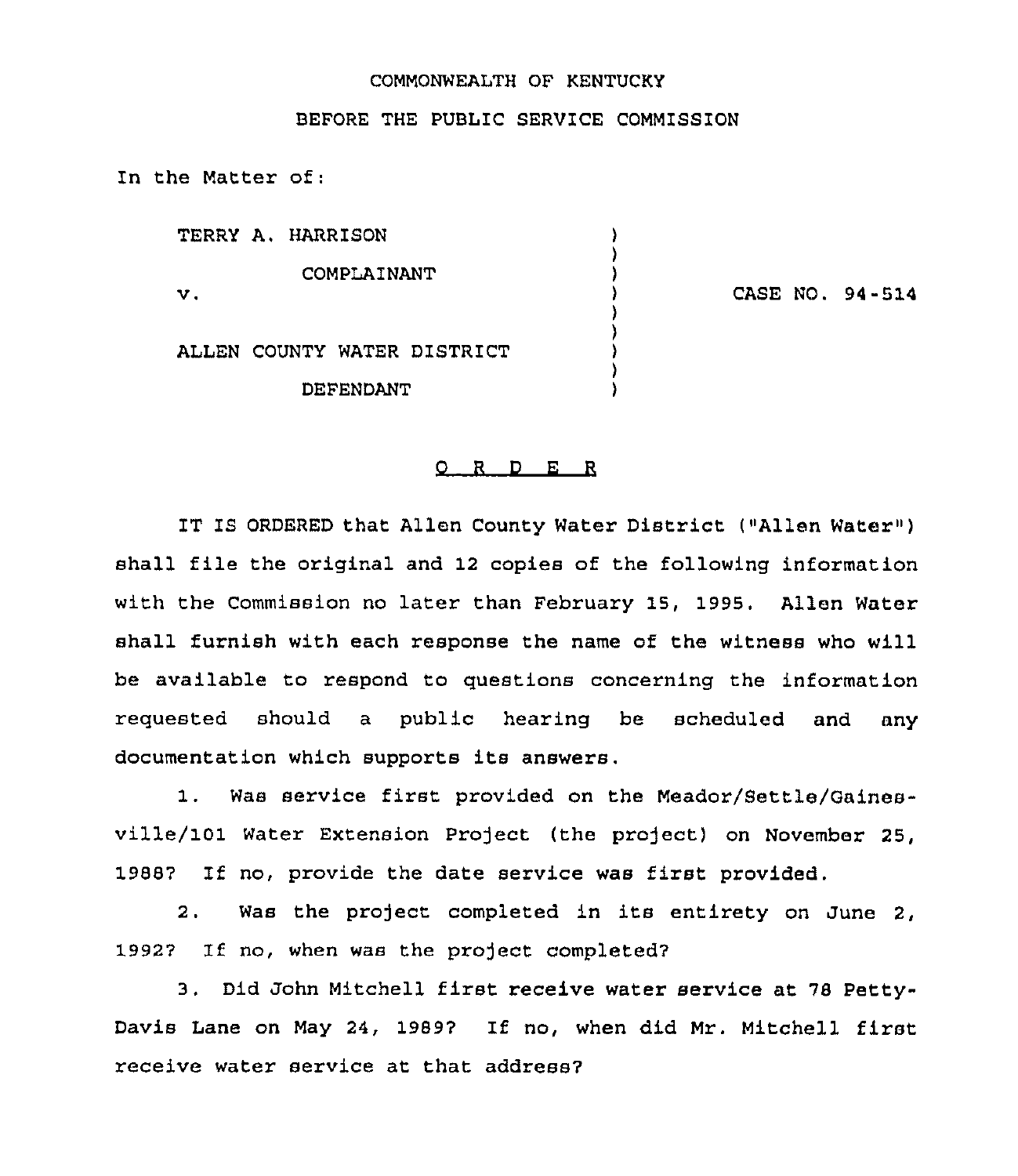## COMMONWEALTH OF KENTUCKY

## BEFORE THE PUBLIC SERVICE COMMISSION

In the Matter of:

TERRY A, HARRISON ١ COMPLAINANT ) CASE NO. 94-514 v.  $\lambda$ ) ALLEN COUNTY WATER DISTRICT ) DEPENDANT

## 0 <sup>R</sup> <sup>D</sup> E <sup>R</sup>

IT IS ORDERED that Allen County Water District ("Allen Water" ) shall file the original and <sup>12</sup> copies of the following information with the Commission no later than February 15, 1995. Allen Water shall furnish with each response the name of the witness who will be available to respond to questions concezning the infozmation requested should a public hearing be scheduled and any documentation which supports its answers.

1. Was service first provided on the Meador/Settle/Gainesville/101 Water Extension Project (the project) on November 25, 1988? If no, provide the date sezvice was first provided.

2, Was the project completed in its entirety on June 2, 1992? If no, when was the project completed?

3. Did John Mitchell first receive water service at ?8 Petty-Davis Lane on May 24, 1989? If no, when did Mr. Mitchell first receive water service at that address?